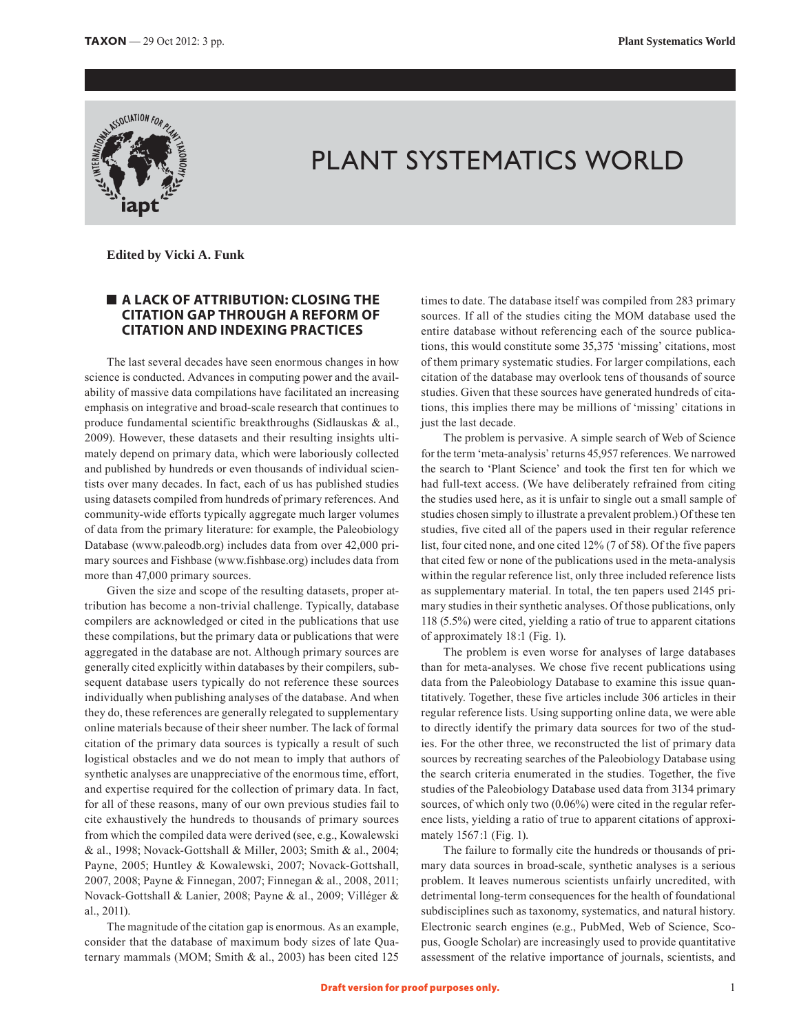

## PLANT SYSTEMATICS WORLD

 **Edited by Vicki A. Funk**

## **A LACK OF ATTRIBUTION: CLOSING THE CITATION GAP THROUGH A REFORM OF CITATION AND INDEXING PRACTICES**

The last several decades have seen enormous changes in how science is conducted. Advances in computing power and the availability of massive data compilations have facilitated an increasing emphasis on integrative and broad-scale research that continues to produce fundamental scientific breakthroughs (Sidlauskas & al., 2009). However, these datasets and their resulting insights ultimately depend on primary data, which were laboriously collected and published by hundreds or even thousands of individual scientists over many decades. In fact, each of us has published studies using datasets compiled from hundreds of primary references. And community-wide efforts typically aggregate much larger volumes of data from the primary literature: for example, the Paleobiology Database (www.paleodb.org) includes data from over 42,000 primary sources and Fishbase (www.fishbase.org) includes data from more than 47,000 primary sources.

Given the size and scope of the resulting datasets, proper attribution has become a non-trivial challenge. Typically, database compilers are acknowledged or cited in the publications that use these compilations, but the primary data or publications that were aggregated in the database are not. Although primary sources are generally cited explicitly within databases by their compilers, subsequent database users typically do not reference these sources individually when publishing analyses of the database. And when they do, these references are generally relegated to supplementary online materials because of their sheer number. The lack of formal citation of the primary data sources is typically a result of such logistical obstacles and we do not mean to imply that authors of synthetic analyses are unappreciative of the enormous time, effort, and expertise required for the collection of primary data. In fact, for all of these reasons, many of our own previous studies fail to cite exhaustively the hundreds to thousands of primary sources from which the compiled data were derived (see, e.g., Kowalewski & al., 1998; Novack-Gottshall & Miller, 2003; Smith & al., 2004; Payne, 2005; Huntley & Kowalewski, 2007; Novack-Gottshall, 2007, 2008; Payne & Finnegan, 2007; Finnegan & al., 2008, 2011; Novack-Gottshall & Lanier, 2008; Payne & al., 2009; Villéger & al., 2011).

The magnitude of the citation gap is enormous. As an example, consider that the database of maximum body sizes of late Quaternary mammals (MOM; Smith & al., 2003) has been cited 125 times to date. The database itself was compiled from 283 primary sources. If all of the studies citing the MOM database used the entire database without referencing each of the source publications, this would constitute some 35,375 'missing' citations, most of them primary systematic studies. For larger compilations, each citation of the database may overlook tens of thousands of source studies. Given that these sources have generated hundreds of citations, this implies there may be millions of 'missing' citations in just the last decade.

The problem is pervasive. A simple search of Web of Science for the term 'meta-analysis' returns 45,957 references. We narrowed the search to 'Plant Science' and took the first ten for which we had full-text access. (We have deliberately refrained from citing the studies used here, as it is unfair to single out a small sample of studies chosen simply to illustrate a prevalent problem.) Of these ten studies, five cited all of the papers used in their regular reference list, four cited none, and one cited 12% (7 of 58). Of the five papers that cited few or none of the publications used in the meta-analysis within the regular reference list, only three included reference lists as supplementary material. In total, the ten papers used 2145 primary studies in their synthetic analyses. Of those publications, only 118 (5.5%) were cited, yielding a ratio of true to apparent citations of approximately 18:1 (Fig. 1).

The problem is even worse for analyses of large databases than for meta-analyses. We chose five recent publications using data from the Paleobiology Database to examine this issue quantitatively. Together, these five articles include 306 articles in their regular reference lists. Using supporting online data, we were able to directly identify the primary data sources for two of the studies. For the other three, we reconstructed the list of primary data sources by recreating searches of the Paleobiology Database using the search criteria enumerated in the studies. Together, the five studies of the Paleobiology Database used data from 3134 primary sources, of which only two (0.06%) were cited in the regular reference lists, yielding a ratio of true to apparent citations of approximately 1567:1 (Fig. 1).

The failure to formally cite the hundreds or thousands of primary data sources in broad-scale, synthetic analyses is a serious problem. It leaves numerous scientists unfairly uncredited, with detrimental long-term consequences for the health of foundational subdisciplines such as taxonomy, systematics, and natural history. Electronic search engines (e.g., PubMed, Web of Science, Scopus, Google Scholar) are increasingly used to provide quantitative assessment of the relative importance of journals, scientists, and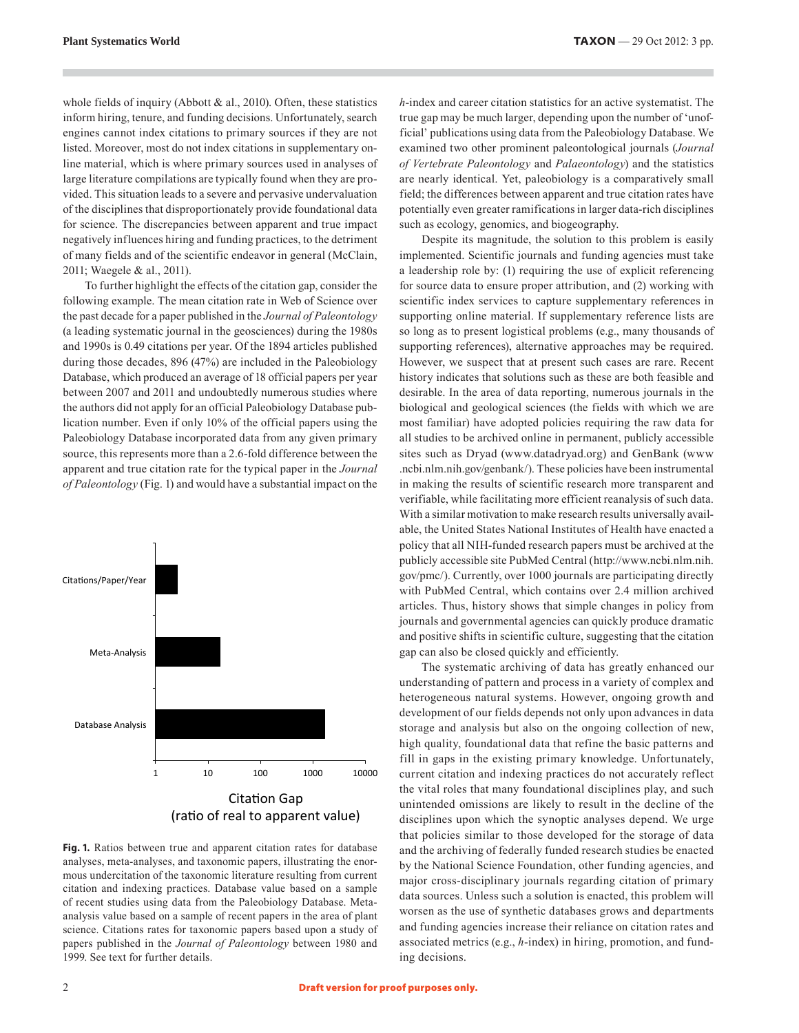whole fields of inquiry (Abbott  $\&$  al., 2010). Often, these statistics inform hiring, tenure, and funding decisions. Unfortunately, search engines cannot index citations to primary sources if they are not listed. Moreover, most do not index citations in supplementary online material, which is where primary sources used in analyses of large literature compilations are typically found when they are provided. This situation leads to a severe and pervasive undervaluation of the disciplines that disproportionately provide foundational data for science. The discrepancies between apparent and true impact negatively influences hiring and funding practices, to the detriment of many fields and of the scientific endeavor in general (McClain, 2011; Waegele & al., 2011).

To further highlight the effects of the citation gap, consider the following example. The mean citation rate in Web of Science over the past decade for a paper published in the *Journal of Paleontology* (a leading systematic journal in the geosciences) during the 1980s and 1990s is 0.49 citations per year. Of the 1894 articles published during those decades, 896 (47%) are included in the Paleobiology Database, which produced an average of 18 official papers per year between 2007 and 2011 and undoubtedly numerous studies where the authors did not apply for an official Paleobiology Database publication number. Even if only 10% of the official papers using the Paleobiology Database incorporated data from any given primary source, this represents more than a 2.6-fold difference between the apparent and true citation rate for the typical paper in the *Journal of Paleontology* (Fig. 1) and would have a substantial impact on the



Fig. 1. Ratios between true and apparent citation rates for database analyses, meta-analyses, and taxonomic papers, illustrating the enormous undercitation of the taxonomic literature resulting from current citation and indexing practices. Database value based on a sample of recent studies using data from the Paleobiology Database. Metaanalysis value based on a sample of recent papers in the area of plant science. Citations rates for taxonomic papers based upon a study of papers published in the *Journal of Paleontology* between 1980 and 1999. See text for further details.

*h*-index and career citation statistics for an active systematist. The true gap may be much larger, depending upon the number of 'unofficial' publications using data from the Paleobiology Database. We examined two other prominent paleontological journals (*Journal of Vertebrate Paleontology* and *Palaeontology*) and the statistics are nearly identical. Yet, paleobiology is a comparatively small field; the differences between apparent and true citation rates have potentially even greater ramifications in larger data-rich disciplines such as ecology, genomics, and biogeography.

Despite its magnitude, the solution to this problem is easily implemented. Scientific journals and funding agencies must take a leadership role by: (1) requiring the use of explicit referencing for source data to ensure proper attribution, and (2) working with scientific index services to capture supplementary references in supporting online material. If supplementary reference lists are so long as to present logistical problems (e.g., many thousands of supporting references), alternative approaches may be required. However, we suspect that at present such cases are rare. Recent history indicates that solutions such as these are both feasible and desirable. In the area of data reporting, numerous journals in the biological and geological sciences (the fields with which we are most familiar) have adopted policies requiring the raw data for all studies to be archived online in permanent, publicly accessible sites such as Dryad (www.datadryad.org) and GenBank (www .ncbi.nlm.nih.gov/genbank/). These policies have been instrumental in making the results of scientific research more transparent and verifiable, while facilitating more efficient reanalysis of such data. With a similar motivation to make research results universally available, the United States National Institutes of Health have enacted a policy that all NIH-funded research papers must be archived at the publicly accessible site PubMed Central (http://www.ncbi.nlm.nih. gov/pmc/). Currently, over 1000 journals are participating directly with PubMed Central, which contains over 2.4 million archived articles. Thus, history shows that simple changes in policy from journals and governmental agencies can quickly produce dramatic and positive shifts in scientific culture, suggesting that the citation gap can also be closed quickly and efficiently.

The systematic archiving of data has greatly enhanced our understanding of pattern and process in a variety of complex and heterogeneous natural systems. However, ongoing growth and development of our fields depends not only upon advances in data storage and analysis but also on the ongoing collection of new, high quality, foundational data that refine the basic patterns and fill in gaps in the existing primary knowledge. Unfortunately, current citation and indexing practices do not accurately reflect the vital roles that many foundational disciplines play, and such unintended omissions are likely to result in the decline of the disciplines upon which the synoptic analyses depend. We urge that policies similar to those developed for the storage of data and the archiving of federally funded research studies be enacted by the National Science Foundation, other funding agencies, and major cross-disciplinary journals regarding citation of primary data sources. Unless such a solution is enacted, this problem will worsen as the use of synthetic databases grows and departments and funding agencies increase their reliance on citation rates and associated metrics (e.g., *h*-index) in hiring, promotion, and funding decisions.